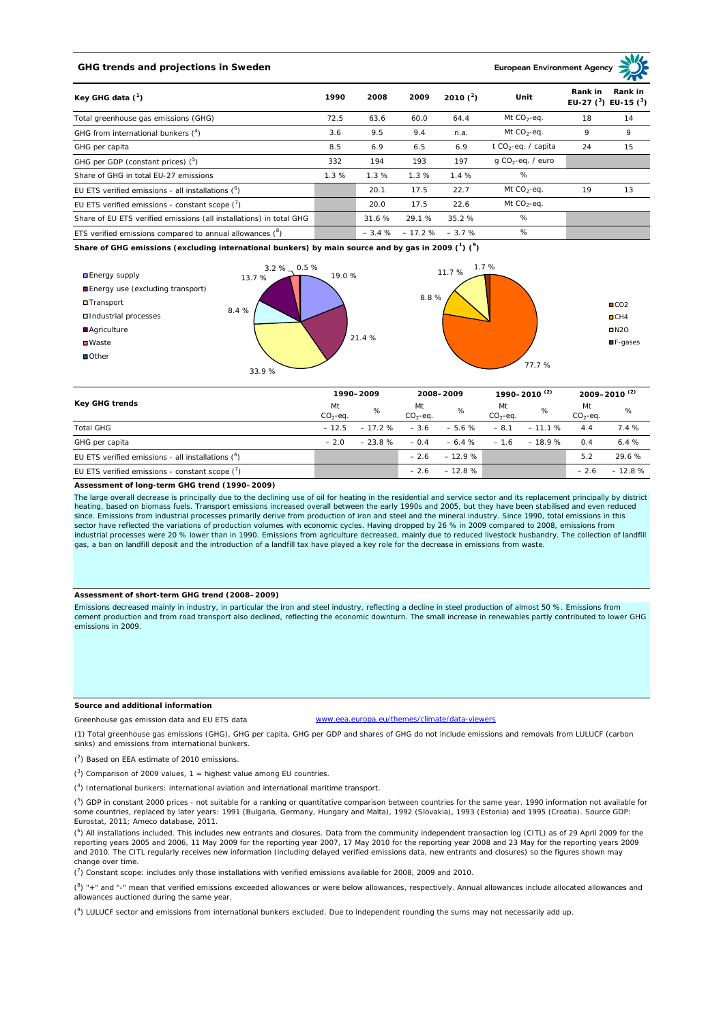# **GHG trends and projections in Sweden**

**European Environment Ag** 

| Key GHG data $(^1)$                                                 |      | 2008    | 2009             | 2010 $(^{2})$ | Unit                            | Rank in<br>Rank in<br>EU-27 $(^3)$ EU-15 $(^3)$ |    |
|---------------------------------------------------------------------|------|---------|------------------|---------------|---------------------------------|-------------------------------------------------|----|
| Total greenhouse gas emissions (GHG)                                | 72.5 | 63.6    | 60.0             | 64.4          | Mt $CO_2$ -eq.                  | 18                                              | 14 |
| GHG from international bunkers $(^4)$                               | 3.6  | 9.5     | 9.4              | n.a.          | Mt $CO_2$ -eq.                  | 9                                               | 9  |
| GHG per capita                                                      | 8.5  | 6.9     | 6.5              | 6.9           | t CO <sub>2</sub> -eq. / capita | 24                                              | 15 |
| GHG per GDP (constant prices) $(^5)$                                | 332  | 194     | 193              | 197           | g CO <sub>2</sub> -eq. / euro   |                                                 |    |
| Share of GHG in total EU-27 emissions                               | 1.3% | 1.3%    | 1.3%             | 1.4%          | %                               |                                                 |    |
| EU ETS verified emissions - all installations ( <sup>o</sup> )      |      | 20.1    | 17.5             | 22.7          | Mt $CO_2$ -eq.                  | 19                                              | 13 |
| EU ETS verified emissions - constant scope $(7)$                    |      | 20.0    | 17.5             | 22.6          | Mt $CO_2$ -eq.                  |                                                 |    |
| Share of EU ETS verified emissions (all installations) in total GHG |      | 31.6 %  | 29.1 %           | 35.2%         | %                               |                                                 |    |
| ETS verified emissions compared to annual allowances $(^8)$         |      | $-3.4%$ | $-17.2\% -3.7\%$ |               | %                               |                                                 |    |

**Share of GHG emissions (excluding international bunkers) by main source and by gas in 2009 (<sup>1</sup> ) (<sup>9</sup> )**



| <b>Key GHG trends</b>                                          |                 | 1990-2009 |                 | 2008-2009 |                 | 1990–2010 <sup>(2)</sup> |                 | 2009-2010 <sup>(2)</sup> |  |
|----------------------------------------------------------------|-----------------|-----------|-----------------|-----------|-----------------|--------------------------|-----------------|--------------------------|--|
|                                                                | Mt<br>$CO2-eq.$ | %         | Mt<br>$CO2-eq.$ | %         | Mt<br>$CO2-ea.$ | %                        | Mt<br>$CO2-eq.$ | %                        |  |
| <b>Total GHG</b>                                               | $-12.5$         | $-17.2%$  | $-3.6$          | $-5.6%$   | $-8.1$          | $-11.1%$                 | 4.4             | 7.4%                     |  |
| GHG per capita                                                 | $-2.0$          | $-23.8%$  | $-0.4$          | $-6.4%$   | $-1.6$          | $-18.9%$                 | 0.4             | 6.4%                     |  |
| EU ETS verified emissions - all installations ( <sup>o</sup> ) |                 |           | $-2.6$          | $-12.9%$  |                 |                          | 5.2             | 29.6 %                   |  |
| EU ETS verified emissions - constant scope $(7)$               |                 |           | $-2.6$          | $-12.8%$  |                 |                          | $-2.6$          | $-12.8%$                 |  |

#### **Assessment of long-term GHG trend (1990–2009)**

The large overall decrease is principally due to the declining use of oil for heating in the residential and service sector and its replacement principally by district heating, based on biomass fuels. Transport emissions increased overall between the early 1990s and 2005, but they have been stabilised and even reduced since. Emissions from industrial processes primarily derive from production of iron and steel and the mineral industry. Since 1990, total emissions in this sector have reflected the variations of production volumes with economic cycles. Having dropped by 26 % in 2009 compared to 2008, emissions from industrial processes were 20 % lower than in 1990. Emissions from agriculture decreased, mainly due to reduced livestock husbandry. The collection of landfill gas, a ban on landfill deposit and the introduction of a landfill tax have played a key role for the decrease in emissions from waste.

### **Assessment of short-term GHG trend (2008–2009)**

Emissions decreased mainly in industry, in particular the iron and steel industry, reflecting a decline in steel production of almost 50 %. Emissions from cement production and from road transport also declined, reflecting the economic downturn. The small increase in renewables partly contributed to lower GHG emissions in 2009.

### **Source and additional information**

www.eea.europa.eu/themes/climate/data-viewers

(1) Total greenhouse gas emissions (GHG), GHG per capita, GHG per GDP and shares of GHG do not include emissions and removals from LULUCF (carbon sinks) and emissions from international bunkers.

( 2 ) Based on EEA estimate of 2010 emissions.

Greenhouse gas emission data and EU ETS data

 $(3)$  Comparison of 2009 values, 1 = highest value among EU countries.

( 4 ) International bunkers: international aviation and international maritime transport.

 $(^{5})$  GDP in constant 2000 prices - not suitable for a ranking or quantitative comparison between countries for the same year. 1990 information not available for some countries, replaced by later years: 1991 (Bulgaria, Germany, Hungary and Malta), 1992 (Slovakia), 1993 (Estonia) and 1995 (Croatia). Source GDP: Eurostat, 2011; Ameco database, 2011.

(<sup>6</sup>) All installations included. This includes new entrants and closures. Data from the community independent transaction log (CITL) as of 29 April 2009 for the<br>reporting years 2005 and 2006, 11 May 2009 for the reporting and 2010. The CITL regularly receives new information (including delayed verified emissions data, new entrants and closures) so the figures shown may change over time.

 $\binom{7}{1}$  Constant scope: includes only those installations with verified emissions available for 2008, 2009 and 2010.

 $(^{8}$ ) " $+$ " and "-" mean that verified emissions exceeded allowances or were below allowances, respectively. Annual allowances include allocated allowances and allowances auctioned during the same year.

 $(2)$  LULUCF sector and emissions from international bunkers excluded. Due to independent rounding the sums may not necessarily add up.